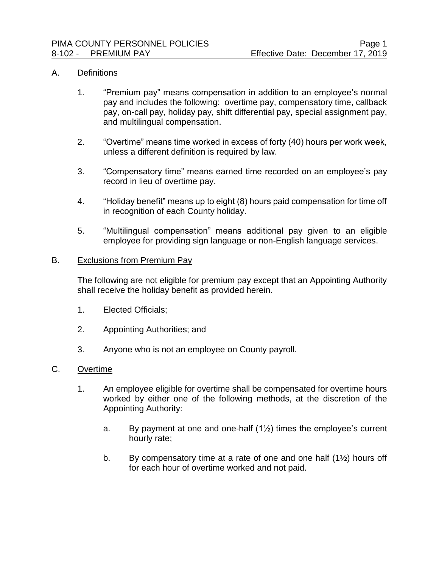#### A. Definitions

- 1. "Premium pay" means compensation in addition to an employee's normal pay and includes the following: overtime pay, compensatory time, callback pay, on-call pay, holiday pay, shift differential pay, special assignment pay, and multilingual compensation.
- 2. "Overtime" means time worked in excess of forty (40) hours per work week, unless a different definition is required by law.
- 3. "Compensatory time" means earned time recorded on an employee's pay record in lieu of overtime pay.
- 4. "Holiday benefit" means up to eight (8) hours paid compensation for time off in recognition of each County holiday.
- 5. "Multilingual compensation" means additional pay given to an eligible employee for providing sign language or non-English language services.

#### B. Exclusions from Premium Pay

The following are not eligible for premium pay except that an Appointing Authority shall receive the holiday benefit as provided herein.

- 1. Elected Officials;
- 2. Appointing Authorities; and
- 3. Anyone who is not an employee on County payroll.

# C. Overtime

- 1. An employee eligible for overtime shall be compensated for overtime hours worked by either one of the following methods, at the discretion of the Appointing Authority:
	- a. By payment at one and one-half  $(1\frac{1}{2})$  times the employee's current hourly rate;
	- b. By compensatory time at a rate of one and one half  $(1\frac{1}{2})$  hours off for each hour of overtime worked and not paid.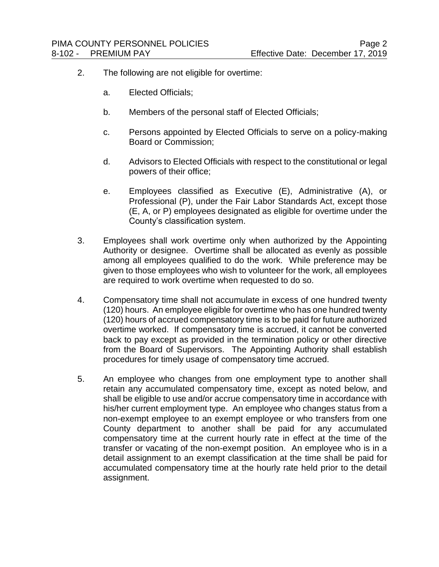- 2. The following are not eligible for overtime:
	- a. Elected Officials;
	- b. Members of the personal staff of Elected Officials;
	- c. Persons appointed by Elected Officials to serve on a policy-making Board or Commission;
	- d. Advisors to Elected Officials with respect to the constitutional or legal powers of their office;
	- e. Employees classified as Executive (E), Administrative (A), or Professional (P), under the Fair Labor Standards Act, except those (E, A, or P) employees designated as eligible for overtime under the County's classification system.
- 3. Employees shall work overtime only when authorized by the Appointing Authority or designee. Overtime shall be allocated as evenly as possible among all employees qualified to do the work. While preference may be given to those employees who wish to volunteer for the work, all employees are required to work overtime when requested to do so.
- 4. Compensatory time shall not accumulate in excess of one hundred twenty (120) hours. An employee eligible for overtime who has one hundred twenty (120) hours of accrued compensatory time is to be paid for future authorized overtime worked. If compensatory time is accrued, it cannot be converted back to pay except as provided in the termination policy or other directive from the Board of Supervisors. The Appointing Authority shall establish procedures for timely usage of compensatory time accrued.
- 5. An employee who changes from one employment type to another shall retain any accumulated compensatory time, except as noted below, and shall be eligible to use and/or accrue compensatory time in accordance with his/her current employment type. An employee who changes status from a non-exempt employee to an exempt employee or who transfers from one County department to another shall be paid for any accumulated compensatory time at the current hourly rate in effect at the time of the transfer or vacating of the non-exempt position. An employee who is in a detail assignment to an exempt classification at the time shall be paid for accumulated compensatory time at the hourly rate held prior to the detail assignment.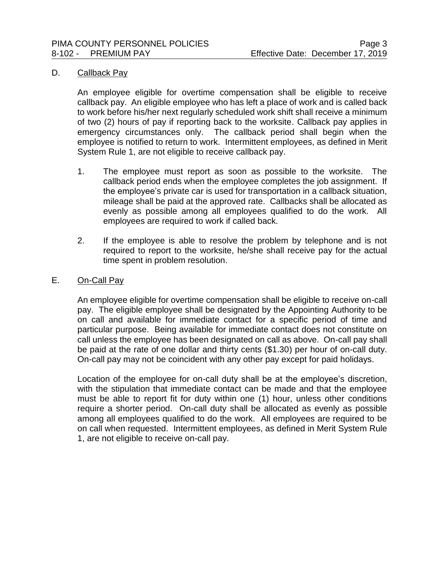#### D. Callback Pay

An employee eligible for overtime compensation shall be eligible to receive callback pay. An eligible employee who has left a place of work and is called back to work before his/her next regularly scheduled work shift shall receive a minimum of two (2) hours of pay if reporting back to the worksite. Callback pay applies in emergency circumstances only. The callback period shall begin when the employee is notified to return to work. Intermittent employees, as defined in Merit System Rule 1, are not eligible to receive callback pay.

- 1. The employee must report as soon as possible to the worksite. The callback period ends when the employee completes the job assignment. If the employee's private car is used for transportation in a callback situation, mileage shall be paid at the approved rate. Callbacks shall be allocated as evenly as possible among all employees qualified to do the work. All employees are required to work if called back.
- 2. If the employee is able to resolve the problem by telephone and is not required to report to the worksite, he/she shall receive pay for the actual time spent in problem resolution.

#### E. On-Call Pay

An employee eligible for overtime compensation shall be eligible to receive on-call pay. The eligible employee shall be designated by the Appointing Authority to be on call and available for immediate contact for a specific period of time and particular purpose. Being available for immediate contact does not constitute on call unless the employee has been designated on call as above. On-call pay shall be paid at the rate of one dollar and thirty cents (\$1.30) per hour of on-call duty. On-call pay may not be coincident with any other pay except for paid holidays.

Location of the employee for on-call duty shall be at the employee's discretion, with the stipulation that immediate contact can be made and that the employee must be able to report fit for duty within one (1) hour, unless other conditions require a shorter period. On-call duty shall be allocated as evenly as possible among all employees qualified to do the work. All employees are required to be on call when requested. Intermittent employees, as defined in Merit System Rule 1, are not eligible to receive on-call pay.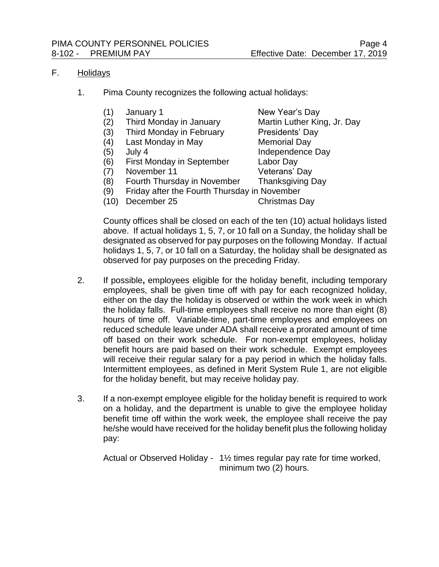#### F. Holidays

- 1. Pima County recognizes the following actual holidays:
	- (1) January 1 New Year's Day
	- (2) Third Monday in January Martin Luther King, Jr. Day
	- (3) Third Monday in February Presidents' Day
	- (4) Last Monday in May Memorial Day
	-
	- (6) First Monday in September Labor Day
	- (7) November 11 Veterans' Day

(5) July 4 Independence Day

- 
- (8) Fourth Thursday in November Thanksgiving Day
- (9) Friday after the Fourth Thursday in November
- (10) December 25 Christmas Day
	-

County offices shall be closed on each of the ten (10) actual holidays listed above. If actual holidays 1, 5, 7, or 10 fall on a Sunday, the holiday shall be designated as observed for pay purposes on the following Monday. If actual holidays 1, 5, 7, or 10 fall on a Saturday, the holiday shall be designated as observed for pay purposes on the preceding Friday.

- 2. If possible**,** employees eligible for the holiday benefit, including temporary employees, shall be given time off with pay for each recognized holiday, either on the day the holiday is observed or within the work week in which the holiday falls. Full-time employees shall receive no more than eight (8) hours of time off. Variable-time, part-time employees and employees on reduced schedule leave under ADA shall receive a prorated amount of time off based on their work schedule. For non-exempt employees, holiday benefit hours are paid based on their work schedule. Exempt employees will receive their regular salary for a pay period in which the holiday falls. Intermittent employees, as defined in Merit System Rule 1, are not eligible for the holiday benefit, but may receive holiday pay.
- 3. If a non-exempt employee eligible for the holiday benefit is required to work on a holiday, and the department is unable to give the employee holiday benefit time off within the work week, the employee shall receive the pay he/she would have received for the holiday benefit plus the following holiday pay:

Actual or Observed Holiday - 1½ times regular pay rate for time worked, minimum two (2) hours.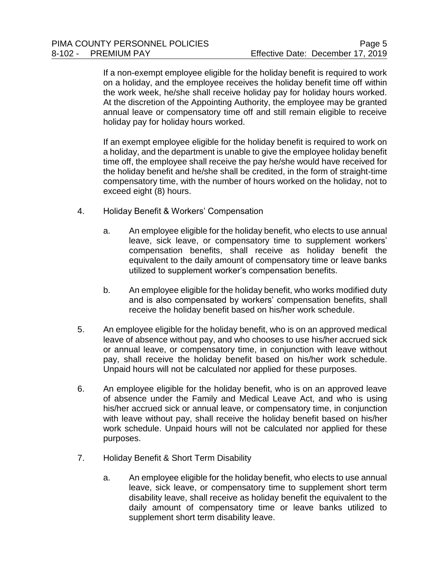If a non-exempt employee eligible for the holiday benefit is required to work on a holiday, and the employee receives the holiday benefit time off within the work week, he/she shall receive holiday pay for holiday hours worked. At the discretion of the Appointing Authority, the employee may be granted annual leave or compensatory time off and still remain eligible to receive holiday pay for holiday hours worked.

If an exempt employee eligible for the holiday benefit is required to work on a holiday, and the department is unable to give the employee holiday benefit time off, the employee shall receive the pay he/she would have received for the holiday benefit and he/she shall be credited, in the form of straight-time compensatory time, with the number of hours worked on the holiday, not to exceed eight (8) hours.

- 4. Holiday Benefit & Workers' Compensation
	- a. An employee eligible for the holiday benefit, who elects to use annual leave, sick leave, or compensatory time to supplement workers' compensation benefits, shall receive as holiday benefit the equivalent to the daily amount of compensatory time or leave banks utilized to supplement worker's compensation benefits.
	- b. An employee eligible for the holiday benefit, who works modified duty and is also compensated by workers' compensation benefits, shall receive the holiday benefit based on his/her work schedule.
- 5. An employee eligible for the holiday benefit, who is on an approved medical leave of absence without pay, and who chooses to use his/her accrued sick or annual leave, or compensatory time, in conjunction with leave without pay, shall receive the holiday benefit based on his/her work schedule. Unpaid hours will not be calculated nor applied for these purposes.
- 6. An employee eligible for the holiday benefit, who is on an approved leave of absence under the Family and Medical Leave Act, and who is using his/her accrued sick or annual leave, or compensatory time, in conjunction with leave without pay, shall receive the holiday benefit based on his/her work schedule. Unpaid hours will not be calculated nor applied for these purposes.
- 7. Holiday Benefit & Short Term Disability
	- a. An employee eligible for the holiday benefit, who elects to use annual leave, sick leave, or compensatory time to supplement short term disability leave, shall receive as holiday benefit the equivalent to the daily amount of compensatory time or leave banks utilized to supplement short term disability leave.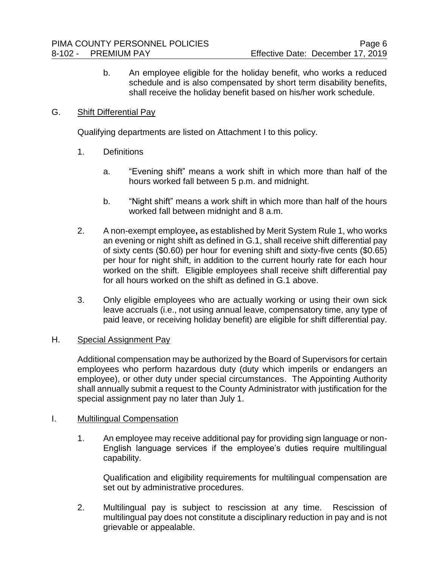b. An employee eligible for the holiday benefit, who works a reduced schedule and is also compensated by short term disability benefits, shall receive the holiday benefit based on his/her work schedule.

# G. Shift Differential Pay

Qualifying departments are listed on Attachment I to this policy.

- 1. Definitions
	- a. "Evening shift" means a work shift in which more than half of the hours worked fall between 5 p.m. and midnight.
	- b. "Night shift" means a work shift in which more than half of the hours worked fall between midnight and 8 a.m.
- 2. A non-exempt employee**,** as established by Merit System Rule 1, who works an evening or night shift as defined in G.1, shall receive shift differential pay of sixty cents (\$0.60) per hour for evening shift and sixty-five cents (\$0.65) per hour for night shift, in addition to the current hourly rate for each hour worked on the shift. Eligible employees shall receive shift differential pay for all hours worked on the shift as defined in G.1 above.
- 3. Only eligible employees who are actually working or using their own sick leave accruals (i.e., not using annual leave, compensatory time, any type of paid leave, or receiving holiday benefit) are eligible for shift differential pay.

# H. Special Assignment Pay

Additional compensation may be authorized by the Board of Supervisors for certain employees who perform hazardous duty (duty which imperils or endangers an employee), or other duty under special circumstances. The Appointing Authority shall annually submit a request to the County Administrator with justification for the special assignment pay no later than July 1.

# I. Multilingual Compensation

1. An employee may receive additional pay for providing sign language or non-English language services if the employee's duties require multilingual capability.

Qualification and eligibility requirements for multilingual compensation are set out by administrative procedures.

2. Multilingual pay is subject to rescission at any time. Rescission of multilingual pay does not constitute a disciplinary reduction in pay and is not grievable or appealable.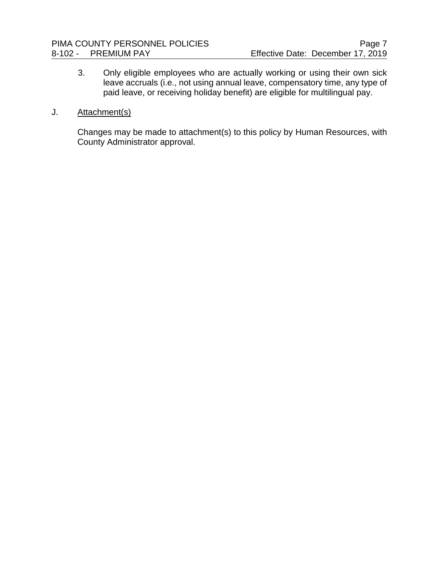3. Only eligible employees who are actually working or using their own sick leave accruals (i.e., not using annual leave, compensatory time, any type of paid leave, or receiving holiday benefit) are eligible for multilingual pay.

# J. Attachment(s)

Changes may be made to attachment(s) to this policy by Human Resources, with County Administrator approval.